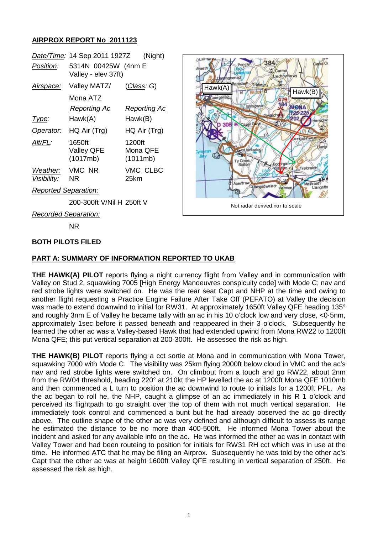### **AIRPROX REPORT No 2011123**

|                             | <u>Date/Time</u> : 14 Sep 2011 1927Z       | (Night)                        |
|-----------------------------|--------------------------------------------|--------------------------------|
| Position:                   | 5314N 00425W (4nm E<br>Valley - elev 37ft) |                                |
| <u>Airspace:</u>            | Valley MATZ/                               | <u>(Class</u> : G)             |
|                             | Mona ATZ                                   |                                |
|                             | Reporting Ac                               | Reporting Ac                   |
| Type:                       | Hawk(A)                                    | Hawk(B)                        |
| Operator:                   | HQ Air (Trg)                               | HQ Air (Trg)                   |
| Alt/FL:                     | 1650ft<br><b>Valley QFE</b><br>(1017mb)    | 1200ft<br>Mona QFE<br>(1011mb) |
| Weather:<br>Visibility:     | VMC NR<br>NR                               | VMC CLBC<br>25km               |
| <b>Reported Separation:</b> |                                            |                                |

384 Hawk(A) Hawk(B) ndan Not radar derived nor to scale

# 200-300ft V/Nil H 250ft V

*Recorded Separation:*

NR

#### **BOTH PILOTS FILED**

#### **PART A: SUMMARY OF INFORMATION REPORTED TO UKAB**

**THE HAWK(A) PILOT** reports flying a night currency flight from Valley and in communication with Valley on Stud 2, squawking 7005 [High Energy Manoeuvres conspicuity code] with Mode C; nav and red strobe lights were switched on. He was the rear seat Capt and NHP at the time and owing to another flight requesting a Practice Engine Failure After Take Off (PEFATO) at Valley the decision was made to extend downwind to initial for RW31. At approximately 1650ft Valley QFE heading 135° and roughly 3nm E of Valley he became tally with an ac in his 10 o'clock low and very close, <0·5nm, approximately 1sec before it passed beneath and reappeared in their 3 o'clock. Subsequently he learned the other ac was a Valley-based Hawk that had extended upwind from Mona RW22 to 1200ft Mona QFE; this put vertical separation at 200-300ft. He assessed the risk as high.

**THE HAWK(B) PILOT** reports flying a cct sortie at Mona and in communication with Mona Tower, squawking 7000 with Mode C. The visibility was 25km flying 2000ft below cloud in VMC and the ac's nav and red strobe lights were switched on. On climbout from a touch and go RW22, about 2nm from the RW04 threshold, heading 220° at 210kt the HP levelled the ac at 1200ft Mona QFE 1010mb and then commenced a L turn to position the ac downwind to route to initials for a 1200ft PFL. As the ac began to roll he, the NHP, caught a glimpse of an ac immediately in his R 1 o'clock and perceived its flightpath to go straight over the top of them with not much vertical separation. He immediately took control and commenced a bunt but he had already observed the ac go directly above. The outline shape of the other ac was very defined and although difficult to assess its range he estimated the distance to be no more than 400-500ft. He informed Mona Tower about the incident and asked for any available info on the ac. He was informed the other ac was in contact with Valley Tower and had been routeing to position for initials for RW31 RH cct which was in use at the time. He informed ATC that he may be filing an Airprox. Subsequently he was told by the other ac's Capt that the other ac was at height 1600ft Valley QFE resulting in vertical separation of 250ft. He assessed the risk as high.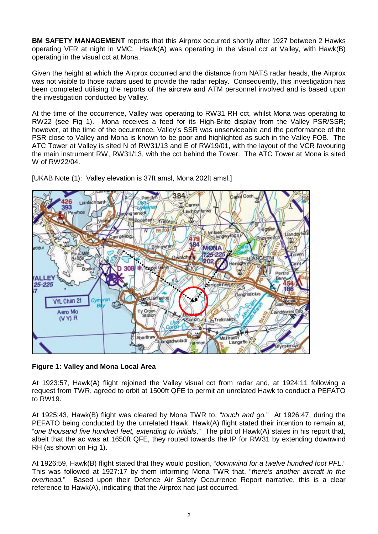**BM SAFETY MANAGEMENT** reports that this Airprox occurred shortly after 1927 between 2 Hawks operating VFR at night in VMC. Hawk(A) was operating in the visual cct at Valley, with Hawk(B) operating in the visual cct at Mona.

Given the height at which the Airprox occurred and the distance from NATS radar heads, the Airprox was not visible to those radars used to provide the radar replay. Consequently, this investigation has been completed utilising the reports of the aircrew and ATM personnel involved and is based upon the investigation conducted by Valley.

At the time of the occurrence, Valley was operating to RW31 RH cct, whilst Mona was operating to RW22 (see Fig 1). Mona receives a feed for its High-Brite display from the Valley PSR/SSR; however, at the time of the occurrence, Valley's SSR was unserviceable and the performance of the PSR close to Valley and Mona is known to be poor and highlighted as such in the Valley FOB. The ATC Tower at Valley is sited N of RW31/13 and E of RW19/01, with the layout of the VCR favouring the main instrument RW, RW31/13, with the cct behind the Tower. The ATC Tower at Mona is sited W of RW22/04.



[UKAB Note (1): Valley elevation is 37ft amsl, Mona 202ft amsl.]

## **Figure 1: Valley and Mona Local Area**

At 1923:57, Hawk(A) flight rejoined the Valley visual cct from radar and, at 1924:11 following a request from TWR, agreed to orbit at 1500ft QFE to permit an unrelated Hawk to conduct a PEFATO to RW19.

At 1925:43, Hawk(B) flight was cleared by Mona TWR to, "*touch and go.*" At 1926:47, during the PEFATO being conducted by the unrelated Hawk, Hawk(A) flight stated their intention to remain at, "*one thousand five hundred feet, extending to initials*." The pilot of Hawk(A) states in his report that, albeit that the ac was at 1650ft QFE, they routed towards the IP for RW31 by extending downwind RH (as shown on Fig 1).

At 1926:59, Hawk(B) flight stated that they would position, "*downwind for a twelve hundred foot PFL*." This was followed at 1927:17 by them informing Mona TWR that, "*there's another aircraft in the overhead.*" Based upon their Defence Air Safety Occurrence Report narrative, this is a clear reference to Hawk(A), indicating that the Airprox had just occurred.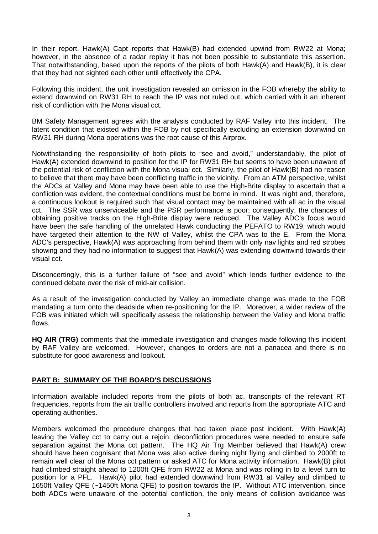In their report, Hawk(A) Capt reports that Hawk(B) had extended upwind from RW22 at Mona; however, in the absence of a radar replay it has not been possible to substantiate this assertion. That notwithstanding, based upon the reports of the pilots of both Hawk(A) and Hawk(B), it is clear that they had not sighted each other until effectively the CPA.

Following this incident, the unit investigation revealed an omission in the FOB whereby the ability to extend downwind on RW31 RH to reach the IP was not ruled out, which carried with it an inherent risk of confliction with the Mona visual cct.

BM Safety Management agrees with the analysis conducted by RAF Valley into this incident. The latent condition that existed within the FOB by not specifically excluding an extension downwind on RW31 RH during Mona operations was the root cause of this Airprox.

Notwithstanding the responsibility of both pilots to "see and avoid," understandably, the pilot of Hawk(A) extended downwind to position for the IP for RW31 RH but seems to have been unaware of the potential risk of confliction with the Mona visual cct. Similarly, the pilot of Hawk(B) had no reason to believe that there may have been conflicting traffic in the vicinity. From an ATM perspective, whilst the ADCs at Valley and Mona may have been able to use the High-Brite display to ascertain that a confliction was evident, the contextual conditions must be borne in mind. It was night and, therefore, a continuous lookout is required such that visual contact may be maintained with all ac in the visual cct. The SSR was unserviceable and the PSR performance is poor; consequently, the chances of obtaining positive tracks on the High-Brite display were reduced. The Valley ADC's focus would have been the safe handling of the unrelated Hawk conducting the PEFATO to RW19, which would have targeted their attention to the NW of Valley, whilst the CPA was to the E. From the Mona ADC's perspective, Hawk(A) was approaching from behind them with only nav lights and red strobes showing and they had no information to suggest that Hawk(A) was extending downwind towards their visual cct.

Disconcertingly, this is a further failure of "see and avoid" which lends further evidence to the continued debate over the risk of mid-air collision.

As a result of the investigation conducted by Valley an immediate change was made to the FOB mandating a turn onto the deadside when re-positioning for the IP. Moreover, a wider review of the FOB was initiated which will specifically assess the relationship between the Valley and Mona traffic flows.

**HQ AIR (TRG)** comments that the immediate investigation and changes made following this incident by RAF Valley are welcomed. However, changes to orders are not a panacea and there is no substitute for good awareness and lookout.

#### **PART B: SUMMARY OF THE BOARD'S DISCUSSIONS**

Information available included reports from the pilots of both ac, transcripts of the relevant RT frequencies, reports from the air traffic controllers involved and reports from the appropriate ATC and operating authorities.

Members welcomed the procedure changes that had taken place post incident. With Hawk(A) leaving the Valley cct to carry out a rejoin, deconfliction procedures were needed to ensure safe separation against the Mona cct pattern. The HQ Air Trg Member believed that Hawk(A) crew should have been cognisant that Mona was also active during night flying and climbed to 2000ft to remain well clear of the Mona cct pattern or asked ATC for Mona activity information. Hawk(B) pilot had climbed straight ahead to 1200ft QFE from RW22 at Mona and was rolling in to a level turn to position for a PFL. Hawk(A) pilot had extended downwind from RW31 at Valley and climbed to 1650ft Valley QFE (~1450ft Mona QFE) to position towards the IP. Without ATC intervention, since both ADCs were unaware of the potential confliction, the only means of collision avoidance was